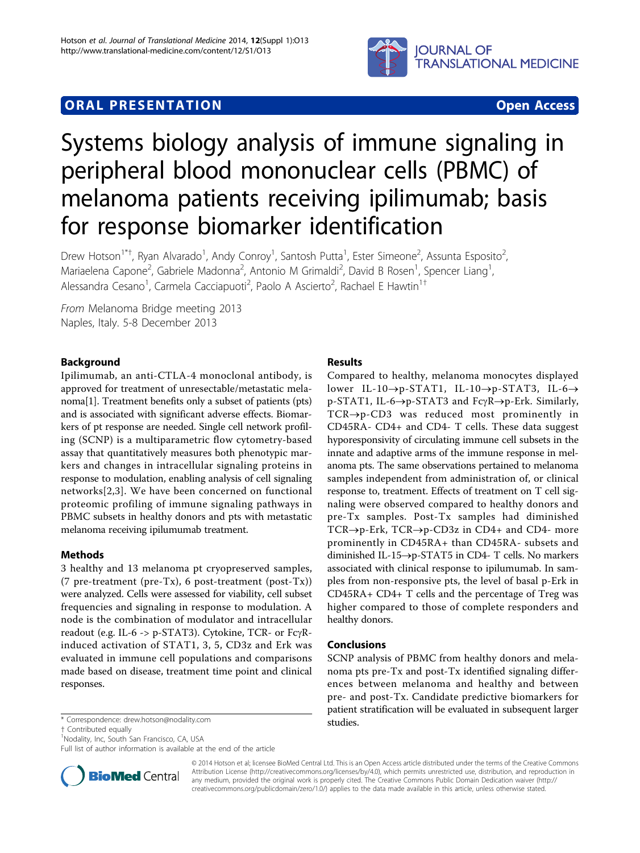

# **ORAL PRESENTATION CONSUMING ACCESS**

# Systems biology analysis of immune signaling in peripheral blood mononuclear cells (PBMC) of melanoma patients receiving ipilimumab; basis for response biomarker identification

Drew Hotson<sup>1\*†</sup>, Ryan Alvarado<sup>1</sup>, Andy Conroy<sup>1</sup>, Santosh Putta<sup>1</sup>, Ester Simeone<sup>2</sup>, Assunta Esposito<sup>2</sup> , Mariaelena Capone<sup>2</sup>, Gabriele Madonna<sup>2</sup>, Antonio M Grimaldi<sup>2</sup>, David B Rosen<sup>1</sup>, Spencer Liang<sup>1</sup> , Alessandra Cesano<sup>1</sup>, Carmela Cacciapuoti<sup>2</sup>, Paolo A Ascierto<sup>2</sup>, Rachael E Hawtin<sup>1†</sup>

From Melanoma Bridge meeting 2013 Naples, Italy. 5-8 December 2013

## Background

Ipilimumab, an anti-CTLA-4 monoclonal antibody, is approved for treatment of unresectable/metastatic melanoma[\[1](#page-1-0)]. Treatment benefits only a subset of patients (pts) and is associated with significant adverse effects. Biomarkers of pt response are needed. Single cell network profiling (SCNP) is a multiparametric flow cytometry-based assay that quantitatively measures both phenotypic markers and changes in intracellular signaling proteins in response to modulation, enabling analysis of cell signaling networks[\[2,3](#page-1-0)]. We have been concerned on functional proteomic profiling of immune signaling pathways in PBMC subsets in healthy donors and pts with metastatic melanoma receiving ipilumumab treatment.

### Methods

3 healthy and 13 melanoma pt cryopreserved samples, (7 pre-treatment (pre-Tx), 6 post-treatment (post-Tx)) were analyzed. Cells were assessed for viability, cell subset frequencies and signaling in response to modulation. A node is the combination of modulator and intracellular readout (e.g. IL-6  $\rightarrow$  p-STAT3). Cytokine, TCR- or Fc $\gamma$ Rinduced activation of STAT1, 3, 5, CD3z and Erk was evaluated in immune cell populations and comparisons made based on disease, treatment time point and clinical responses.

† Contributed equally <sup>1</sup>

<sup>1</sup>Nodality, Inc, South San Francisco, CA, USA



Compared to healthy, melanoma monocytes displayed lower IL-10 $\rightarrow$ p-STAT1, IL-10 $\rightarrow$ p-STAT3, IL-6 $\rightarrow$  $p$ -STAT1, IL-6 $\rightarrow$ p-STAT3 and Fc $\gamma$ R $\rightarrow$ p-Erk. Similarly,  $TCR \rightarrow p-CD3$  was reduced most prominently in CD45RA- CD4+ and CD4- T cells. These data suggest hyporesponsivity of circulating immune cell subsets in the innate and adaptive arms of the immune response in melanoma pts. The same observations pertained to melanoma samples independent from administration of, or clinical response to, treatment. Effects of treatment on T cell signaling were observed compared to healthy donors and pre-Tx samples. Post-Tx samples had diminished  $TCR \rightarrow p-Erk$ ,  $TCR \rightarrow p-CD3z$  in  $CD4+$  and  $CD4-$  more prominently in CD45RA+ than CD45RA- subsets and diminished IL-15 $\rightarrow$ p-STAT5 in CD4- T cells. No markers associated with clinical response to ipilumumab. In samples from non-responsive pts, the level of basal p-Erk in CD45RA+ CD4+ T cells and the percentage of Treg was higher compared to those of complete responders and healthy donors.

#### Conclusions

SCNP analysis of PBMC from healthy donors and melanoma pts pre-Tx and post-Tx identified signaling differences between melanoma and healthy and between pre- and post-Tx. Candidate predictive biomarkers for patient stratification will be evaluated in subsequent larger



© 2014 Hotson et al; licensee BioMed Central Ltd. This is an Open Access article distributed under the terms of the Creative Commons Attribution License [\(http://creativecommons.org/licenses/by/4.0](http://creativecommons.org/licenses/by/4.0)), which permits unrestricted use, distribution, and reproduction in any medium, provided the original work is properly cited. The Creative Commons Public Domain Dedication waiver [\(http://](http://creativecommons.org/publicdomain/zero/1.0/) [creativecommons.org/publicdomain/zero/1.0/](http://creativecommons.org/publicdomain/zero/1.0/)) applies to the data made available in this article, unless otherwise stated.

studies. \* Correspondence: [drew.hotson@nodality.com](mailto:drew.hotson@nodality.com)

Full list of author information is available at the end of the article